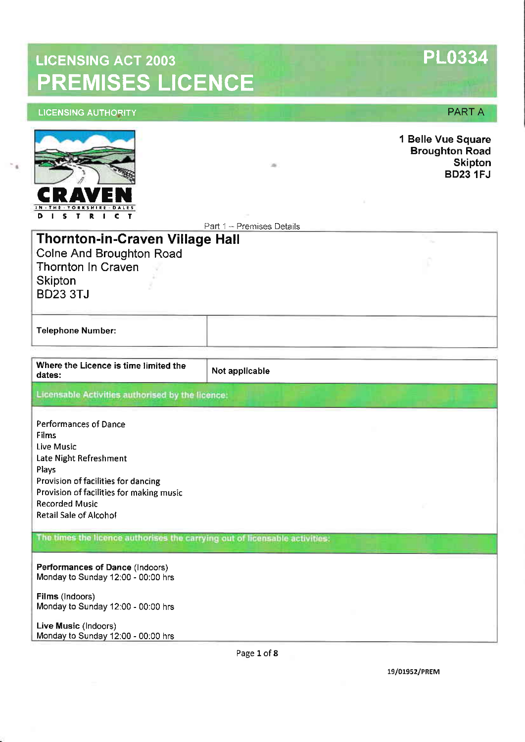## LICENSING ACT 2OO3 PREMISES LICENCE

LICENSING AUTHORITY **EXAMPLE AND INCOMEDY ACCOUNT AND INCOMEDY ACCOUNT ACCOUNT ACCOUNT ACCOUNT ACCOUNT ACCOUNT** 



1 Belle Vue Square Broughton Road **Skipton** BD23 1FJ

PL0334

Thornton-in-Craven Village Hall Colne And Broughton Road Thornton In Craven **Skipton** BD23 3TJ Telephone Number:

Part 1 -- Premises Details

Where the Licence is time limited the dates:

Not applicable

Licensable Activities authorised by the licence:

Performances of Dance Films Live Music Late Night Refreshment Plays Provision of facilities for dancing Provision of facilities for making music Recorded Music Retail Sale of Alcohol

The times the licence authorises the carrying out of licensable activities:

Performances of Dance (lndoors) Monday to Sunday 12:00 - 00:00 hrs

Films (lndoors) Monday to Sunday 12:00 - 00:00 hrs

Live Music (lndoors) Monday to Sunday 12:00 - 00:00 hrs

19/01952/PREM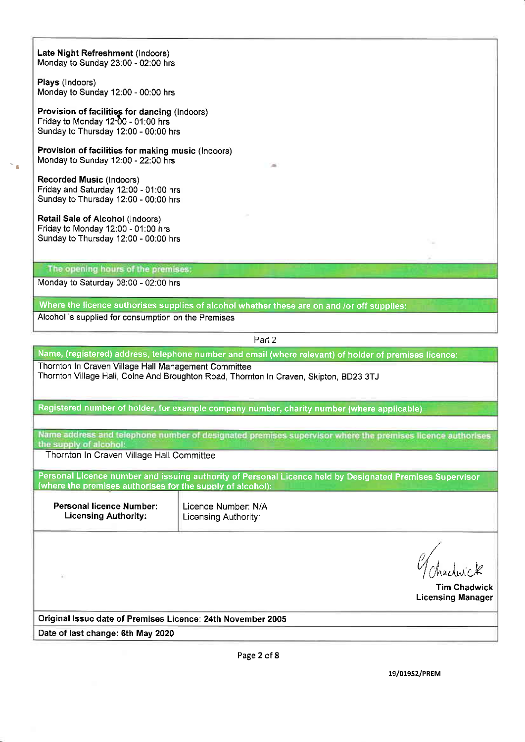| Late Night Refreshment (Indoors)<br>Monday to Sunday 23:00 - 02:00 hrs                                                      |  |
|-----------------------------------------------------------------------------------------------------------------------------|--|
| Plays (Indoors)<br>Monday to Sunday 12:00 - 00:00 hrs                                                                       |  |
| Provision of facilities for dancing (Indoors)<br>Friday to Monday 12:00 - 01:00 hrs<br>Sunday to Thursday 12:00 - 00:00 hrs |  |
| Provision of facilities for making music (Indoors)<br>Monday to Sunday 12:00 - 22:00 hrs                                    |  |
| <b>Recorded Music (Indoors)</b><br>Friday and Saturday 12:00 - 01:00 hrs<br>Sunday to Thursday 12:00 - 00:00 hrs            |  |
| Retail Sale of Alcohol (Indoors)<br>Friday to Monday 12:00 - 01:00 hrs<br>Sunday to Thursday 12:00 - 00:00 hrs              |  |
| The opening hours of the premises:                                                                                          |  |
| Monday to Saturday 08:00 - 02:00 hrs                                                                                        |  |
| Where the licence authorises supplies of alcohol whether these are on and /or off supplies:                                 |  |
| Alcohol is supplied for consumption on the Premises                                                                         |  |
| Part 2                                                                                                                      |  |

Thornton Village Hall, Colne And Broughton Road, Thornton ln Craven, Skipton, BD23 3TJ

Registered number of holder, for example company number, charity number (where applicable)

Name address and telephone number of designated premises supervisor where the premises licence authorises<br>the supply of alcohol:

Thornton ln Craven Village Hall Committee

Personal Licence number and issuing authority of Personal Licence held by Designated Premises Supervisor (where the premises authorises for the supply of alcohol):

| <b>Personal licence Number:</b> | Licence Number: N/A  |
|---------------------------------|----------------------|
| <b>Licensing Authority:</b>     | Licensing Authority: |

l I Y Chadwick

Tim Chadwick Licensing Manager

Original lssue date of Premises Licence: 24th November 2005

Date of last change: 6th May 2020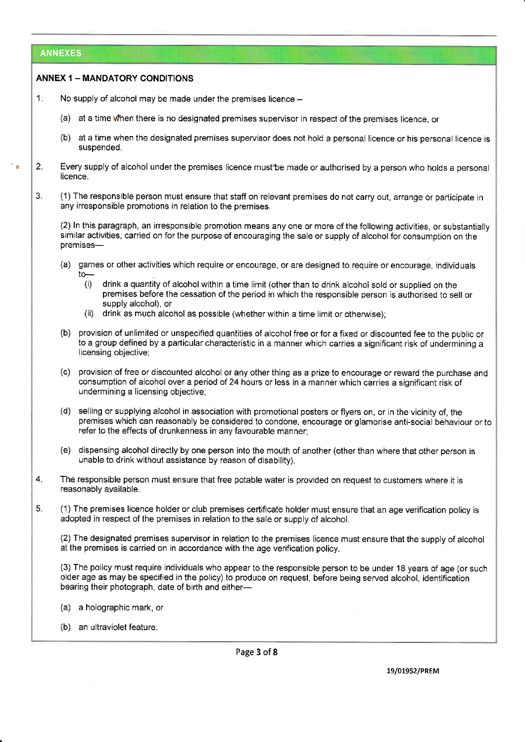a

### ANNEX 1 – MANDATORY CONDITIONS

- 1 No supply of alcohol may be made under the premises licence -
	- (a) at a time when there is no designated premises supervisor in respect of the premises licence, or
	- (b) at a time when the designated premises supervisor does not hold a personal licence or his personal licence is suspended.
- 2. Every supply of alcohol under the premises licence must'be made or authorised by a person who holds a personal licence.
- 3. (1) The responsible person must ensure that staff on relevant premises do not carry out, arrange or participate in any irresponsible promotions in relation to the premises.

(2) ln this paragraph, an irresponsible promotion means any one or more of the following activities, or substantially similar activities, carried on for the purpose of encouraging the sale or supply of alcohol for consumption on the premises-

- (a) games or other activities which require or encourage, or are designed to require or encourage, individuals
	- L(}-- (i) drink a quantity of alcohol within a time limit (other than to drink alcohol sold or supplied on the premises before the cessation of the period in which the responsible person is authorised to sell or
	- $(i)$  drink as much alcohol as possible (whether within a time limit or otherwise);
- (b) provision of unlimited or unspecified quantities of alcohol free or for a fixed or discounted fee to the public or to a group defined by a particular characteristic in a manner which carries a significant risk of undermining a licensing objective:
- (c) provision of free or discounted alcohol or any other thing as a prize to encourage or reward the purchase and consumption of alcohol over a period of 24 hours or less in a manner which carries a significant risk of undermining a licensing objective:
- (d) selling or supplying alcohol in association with promotional posters or flyers on, or in the vicinity of, the premises which can reasonably be considered to condone, encourage or glamorise anti-social behaviour or to refer to the effects of drunkenness in any favourable manner;
- (e) dispensing alcohol directly by one person into the mouth of another (other than where that other person is unable to drink without assistance by reason of disability).
- 4. The responsible person must ensure that free potable water is provided on request to customers where it is reasonably ayailable
- 5. (1) The premises licence holder or club premises certificate holder must ensure that an age verification policy is adopted in respect of the premises in relation to the sale or supply of alcohol.

(2) The designated premises supervisor in relation to the premises licence must ensure that the supply of alcohol at the premises is carried on in accordance with the age verification policy.

(3) The policy must require individuals who appear to the responsible person to be under 18 years of age (or such older age as may be specified in the policy) to produce on request, before being served alcohol, identification bearing their photograph, date of birth and either-

- (a) a holographic mark, or
- (b) an ultraviolet feature.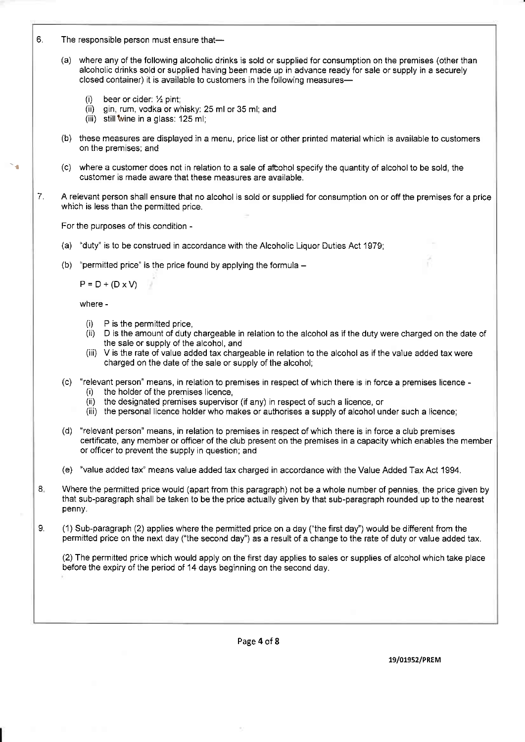- 6. The responsible person must ensure that-
	- (a) where any of the following alcoholic drinks is sold or supplied for consumption on the premises (other than alcoholic drinks sold or supplied having been made up in advance ready for sale or supply in a securely closed container) it is available to customers in the following measures-
		- (i) beer or cider: % pint;
		- (ii) gin, rum, vodka or whisky: 25 ml or 35 ml; and
		- (iii) still wine in a glass:  $125$  ml;
	- (b) these measures are displayed in a menu, price list or other printed material which is available to customers on the premises; and
	- (c) where a customer does not in relation to a sale of alcohol specify the quantity of alcohol to be sold, the customer is made aware that these measures are available.
- 7. <sup>A</sup>relevant person shall ensure that no alcohol is sold or supplied for consumption on or off the premises for a price which is less than the permitted price.

For the purposes of this condition -

- (a) "duty" is to be construed in accordance with the Alcoholic Liquor Duties Act 1979;
- (b) "permitted price" is the price found by applying the formula  $-$

 $P = D + (D \times V)$ 

where -

\_l

- 
- (i) P is the permitted price,<br>(ii) D is the amount of duty chargeable in relation to the alcohol as if the duty were charged on the date of the sale or supply of the alcohol, and
- (iii) V is the rate of value added tax chargeable in relation to the alcohol as if the value added tax were charged on the date of the sale or supply of the alcohol;
- (c) "relevant person" means, in relation to premises in respect of which there is in force a premises licence
	-
	- (ii) the designated premises supervisor (if any) in respect of such a licence, or
	- (iii) the personal licence holder who makes or authorises a supply of alcohol under such a licence;
- (d) "relevant person" means, in relation to premises in respect of which there is in force a club premises certificate, any member or officer of the club present on the premises in a capacity which enables the member or officer to prevent the supply in question; and
- (e) "value added tax" means value added tax charged in accordance with the Value Added Tax Act 1994.
- 8. Where the permitted price would (apart from this paragraph) not be a whole number of pennies, the price given by that sub-paragraph shall be taken to be the price actually given by that sub-paragraph rounded up to the nearest penny.
- 9. (1) Sub-paragraph (2) applies where the permitted price on a day ("the first day") would be different from the permitted price on the next day ("the second day") as a result of a change to the rate of duty or value added tax.

(2) The permitted price which would apply on the first day applies to sales or supplies of alcohol which take place before the expiry of the period of 14 days beginning on the second day.

Page 4 of 8

19/019s2/PREM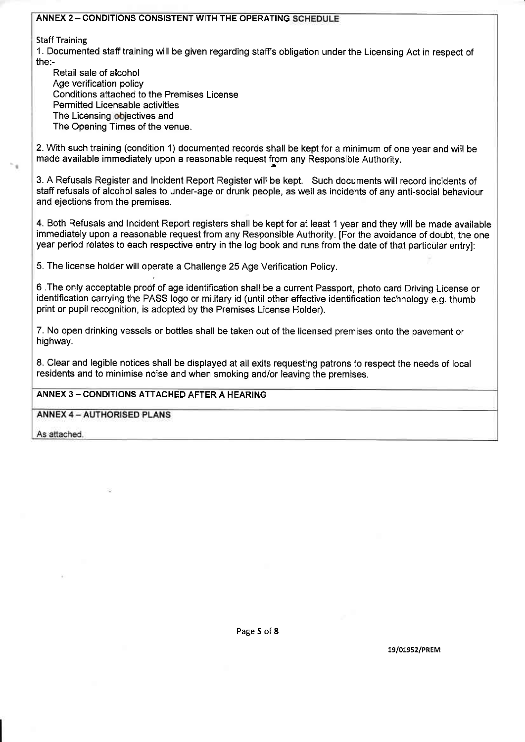#### ANNEX 2 - CONDITIONS CONSISTENT WITH THE OPERATING SCHEDULE

Staff Training

<sup>1</sup>. Documented staff training will be given regarding staffs obligation under the Licensing Act in respect of the:-

Retail sale of alcohol Age verification policy Conditions attached to the Premises License Permitted Licensable activities The Licensing objectives and The Opening Times of the venue.

2. With such training (condition 1) documented records shall be kept for a minimum of one year and will be made available immediately upon a reasonable request from any Responsible Authority.

3. A Refusals Register and lncident Report Register will be kept. Such documents will record incidents of staff refusals of alcohol sales to under-age or drunk people, as well as incidents of any anti-social behaviour and ejections from the premises.

4. Both Refusals and lncident Report registers shall be kept for at least 1 year and they will be made available immediately upon a reasonable request from any Responsible Authority. [For the avoidance of doubt, the one year period relates to each respective entry in the log book and runs from the date of that particuiar entryl:

5. The license holder will operate a Challenge 25 Age Verification Policy.

6 .The only acceptable procif of age identification shall be a current Passport, photo card Driving License or identification carrying the PASS logo or military id (until other effective identification technology e.g. thumb print or pupil recognition, is adopted by the Premises License Holder).

7. No open drinking vessels or bottles shall be taken out of the licensed premises onto the pavement or highway.

8. Clear and legible notices shall be displayed at all exits requesting patrons to respect the needs of local residents and to minimise noise and when smoking and/or leaving the premises.

ANNEX 3 - CONDITIONS ATTACHED AFTER A HEARING

**ANNEX 4 - AUTHORISED PLANS** 

As attached.

19/01952/PREM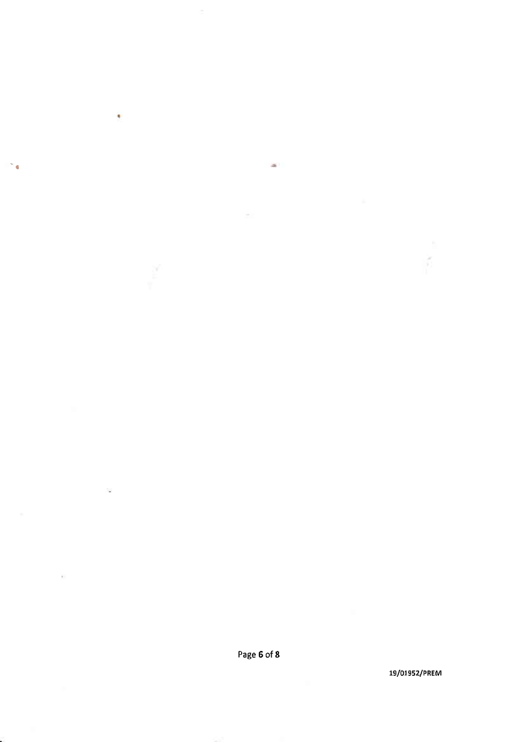19/01952/PREM

 $\Delta$ 

 $\overline{\Xi}$ 

٠

i.

ÿ

 $\widetilde{\mathcal{G}}$ 

 $\mathcal{N}_{\mathbf{0}}$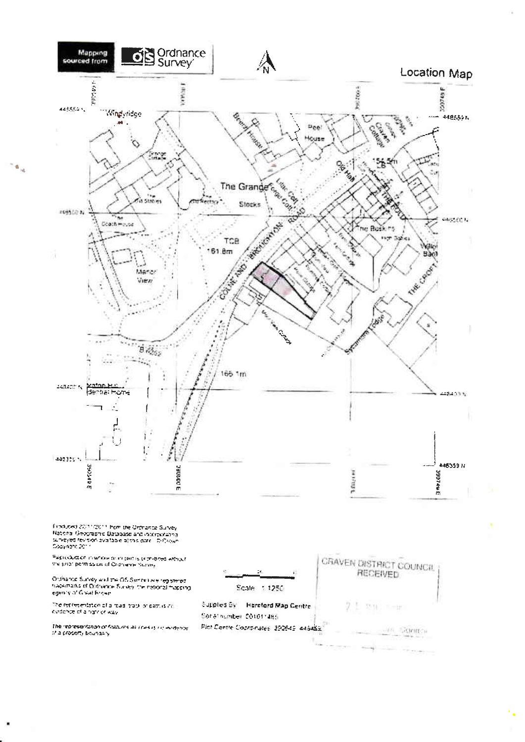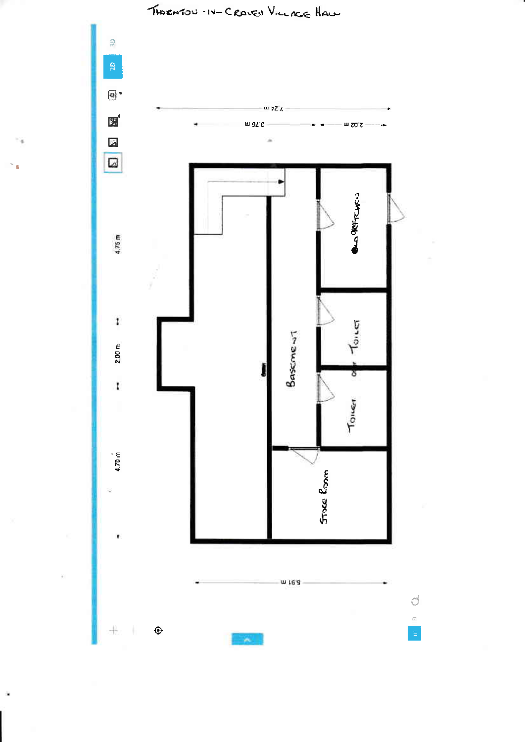THORMTON - IV-CRAVED VILLAGE HALL

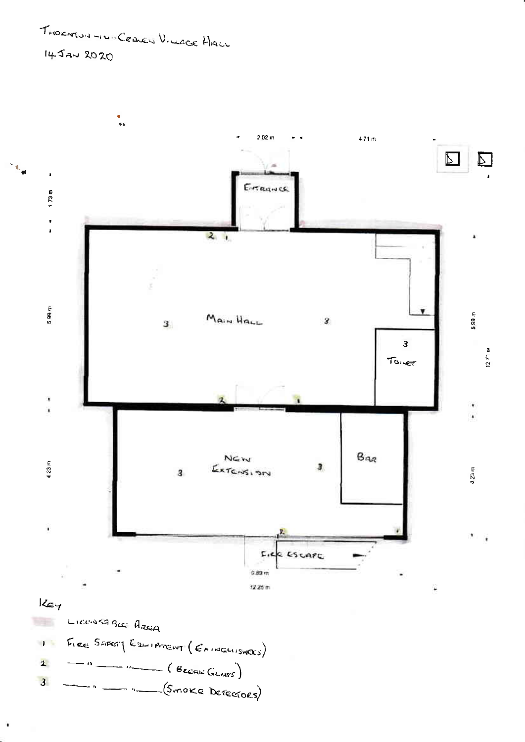

 $-$ "
(BEEAK GLASS)  $\overline{2}$ "- Conoke Derectors)  $\mathbf{3}$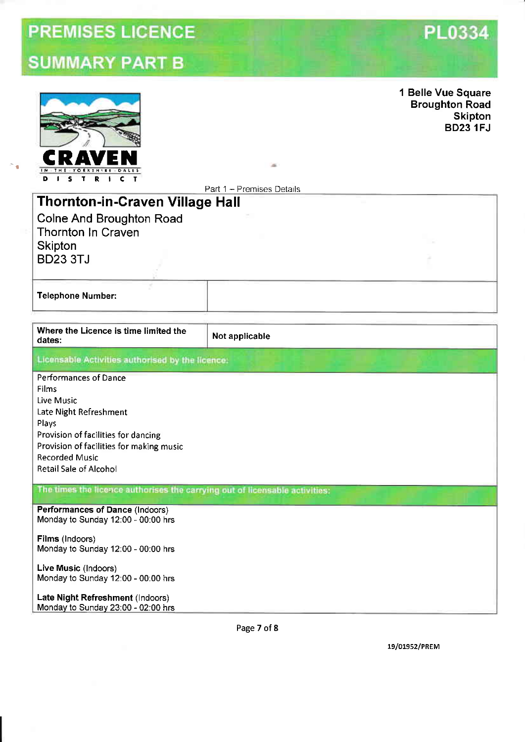# **PREMISES LICENCE SUMMARY PART B**

## **PL0334**



1 Belle Vue Square Broughton Road Skipton BD23 1FJ

Part 1 - Premises Details

## Thornton-in-Graven Village Hall

Colne And Broughton Road Thornton ln Craven **Skipton** BD23 3TJ

Telephone Number:

| Where the Licence is time limited the<br>dates:                             | Not applicable |  |
|-----------------------------------------------------------------------------|----------------|--|
| Licensable Activities authorised by the licence:                            |                |  |
| <b>Performances of Dance</b>                                                |                |  |
| Films                                                                       |                |  |
| Live Music                                                                  |                |  |
| Late Night Refreshment                                                      |                |  |
| Plays                                                                       |                |  |
| Provision of facilities for dancing                                         |                |  |
| Provision of facilities for making music                                    |                |  |
| <b>Recorded Music</b>                                                       |                |  |
| Retail Sale of Alcohol                                                      |                |  |
| The times the licence authorises the carrying out of licensable activities: |                |  |
| <b>Performances of Dance (Indoors)</b>                                      |                |  |
| Monday to Sunday 12:00 - 00:00 hrs                                          |                |  |
| Films (Indoors)                                                             |                |  |
| Monday to Sunday 12:00 - 00:00 hrs                                          |                |  |
| Live Music (Indoors)                                                        |                |  |
| Monday to Sunday 12:00 - 00:00 hrs                                          |                |  |
| Late Night Refreshment (Indoors)                                            |                |  |
| Monday to Sunday 23:00 - 02:00 hrs                                          |                |  |

19/01952/PREM